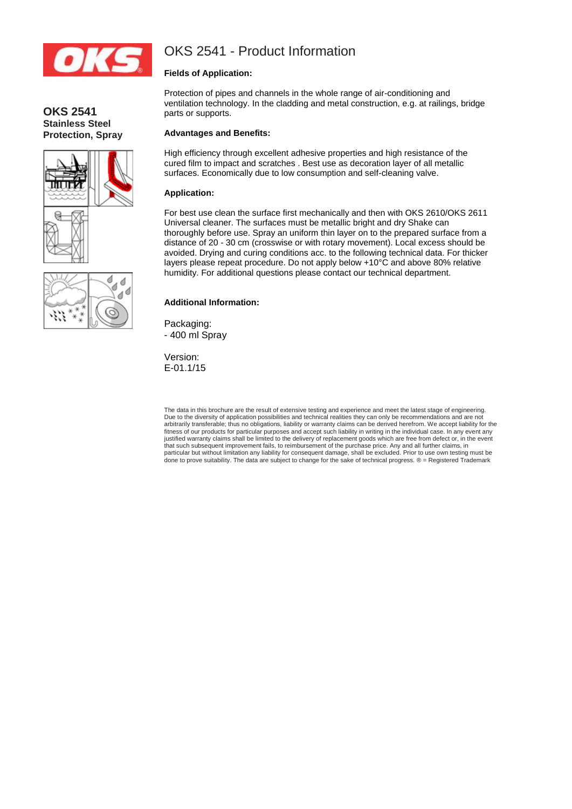

# OKS 2541 - Product Information

# **Fields of Application:**

Protection of pipes and channels in the whole range of air-conditioning and ventilation technology. In the cladding and metal construction, e.g. at railings, bridge parts or supports.

## **Advantages and Benefits:**

High efficiency through excellent adhesive properties and high resistance of the cured film to impact and scratches . Best use as decoration layer of all metallic surfaces. Economically due to low consumption and self-cleaning valve.

#### **Application:**

For best use clean the surface first mechanically and then with OKS 2610/OKS 2611 Universal cleaner. The surfaces must be metallic bright and dry Shake can thoroughly before use. Spray an uniform thin layer on to the prepared surface from a distance of 20 - 30 cm (crosswise or with rotary movement). Local excess should be avoided. Drying and curing conditions acc. to the following technical data. For thicker layers please repeat procedure. Do not apply below +10°C and above 80% relative humidity. For additional questions please contact our technical department.

## **Additional Information:**

Packaging: - 400 ml Spray

Version: E-01.1/15

The data in this brochure are the result of extensive testing and experience and meet the latest stage of engineering. Due to the diversity of application possibilities and technical realities they can only be recommendations and are not<br>arbitrarily transferable; thus no obligations, liability or warranty claims can be derived herefrom. We fitness of our products for particular purposes and accept such liability in writing in the individual case. In any event any justified warranty claims shall be limited to the delivery of replacement goods which are free from defect or, in the event<br>that such subsequent improvement fails, to reimbursement of the purchase price. Any and all furthe particular but without limitation any liability for consequent damage, shall be excluded. Prior to use own testing must be done to prove suitability. The data are subject to change for the sake of technical progress. ® = Registered Trademark



**OKS 2541**